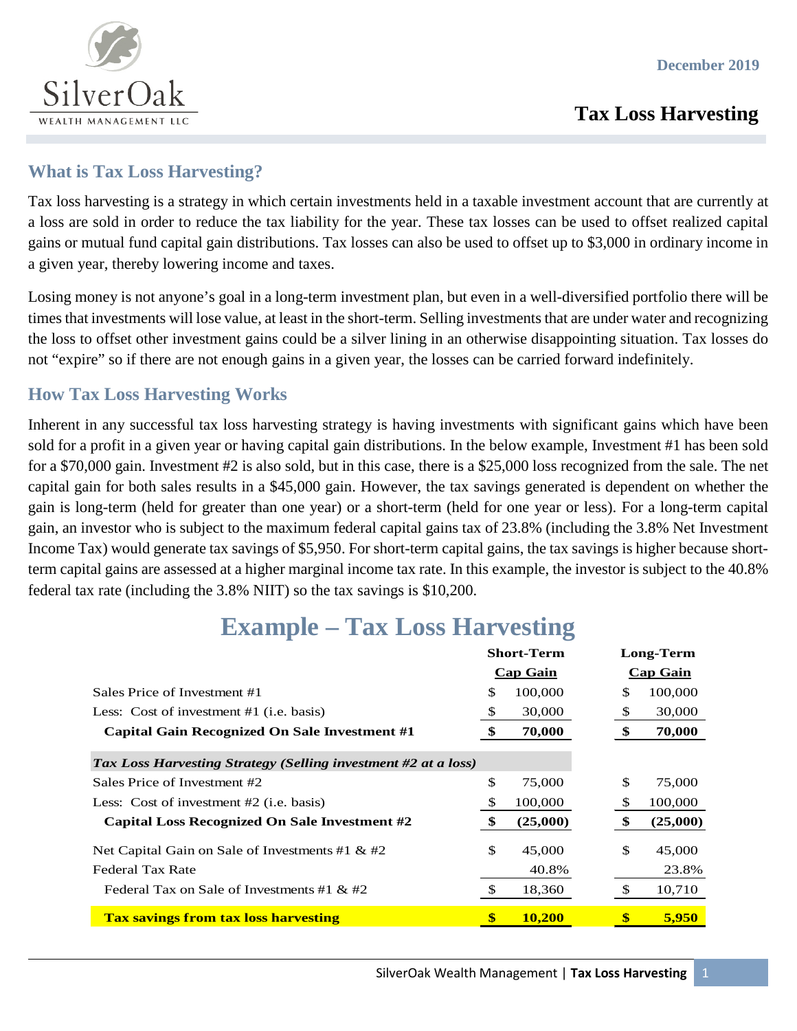

# **Tax Loss Harvesting**

### **What is Tax Loss Harvesting?**

Tax loss harvesting is a strategy in which certain investments held in a taxable investment account that are currently at a loss are sold in order to reduce the tax liability for the year. These tax losses can be used to offset realized capital gains or mutual fund capital gain distributions. Tax losses can also be used to offset up to \$3,000 in ordinary income in a given year, thereby lowering income and taxes.

Losing money is not anyone's goal in a long-term investment plan, but even in a well-diversified portfolio there will be times that investments will lose value, at least in the short-term. Selling investments that are under water and recognizing the loss to offset other investment gains could be a silver lining in an otherwise disappointing situation. Tax losses do not "expire" so if there are not enough gains in a given year, the losses can be carried forward indefinitely.

# **How Tax Loss Harvesting Works**

Inherent in any successful tax loss harvesting strategy is having investments with significant gains which have been sold for a profit in a given year or having capital gain distributions. In the below example, Investment #1 has been sold for a \$70,000 gain. Investment #2 is also sold, but in this case, there is a \$25,000 loss recognized from the sale. The net capital gain for both sales results in a \$45,000 gain. However, the tax savings generated is dependent on whether the gain is long-term (held for greater than one year) or a short-term (held for one year or less). For a long-term capital gain, an investor who is subject to the maximum federal capital gains tax of 23.8% (including the 3.8% Net Investment Income Tax) would generate tax savings of \$5,950. For short-term capital gains, the tax savings is higher because shortterm capital gains are assessed at a higher marginal income tax rate. In this example, the investor is subject to the 40.8% federal tax rate (including the 3.8% NIIT) so the tax savings is \$10,200.

# **Example – Tax Loss Harvesting**

|                                                                | <b>Short-Term</b><br><b>Cap Gain</b> |               | <b>Long-Term</b> |                 |          |
|----------------------------------------------------------------|--------------------------------------|---------------|------------------|-----------------|----------|
|                                                                |                                      |               |                  | <b>Cap Gain</b> |          |
| Sales Price of Investment #1                                   | \$                                   | 100,000       |                  | S               | 100,000  |
| Less: Cost of investment $#1$ (i.e. basis)                     | \$                                   | 30,000        |                  | \$              | 30,000   |
| <b>Capital Gain Recognized On Sale Investment #1</b>           | \$                                   | 70,000        |                  | \$              | 70,000   |
| Tax Loss Harvesting Strategy (Selling investment #2 at a loss) |                                      |               |                  |                 |          |
| Sales Price of Investment #2                                   | \$                                   | 75,000        |                  | \$              | 75,000   |
| Less: Cost of investment $#2$ (i.e. basis)                     | \$                                   | 100,000       |                  | \$              | 100,000  |
| Capital Loss Recognized On Sale Investment #2                  | \$                                   | (25,000)      |                  | \$              | (25,000) |
| Net Capital Gain on Sale of Investments #1 & #2                | \$                                   | 45,000        |                  | \$              | 45,000   |
| <b>Federal Tax Rate</b>                                        |                                      | 40.8%         |                  |                 | 23.8%    |
| Federal Tax on Sale of Investments #1 & #2                     | \$                                   | 18,360        |                  | \$              | 10,710   |
| <b>Tax savings from tax loss harvesting</b>                    | \$                                   | <b>10,200</b> |                  | \$              | 5,950    |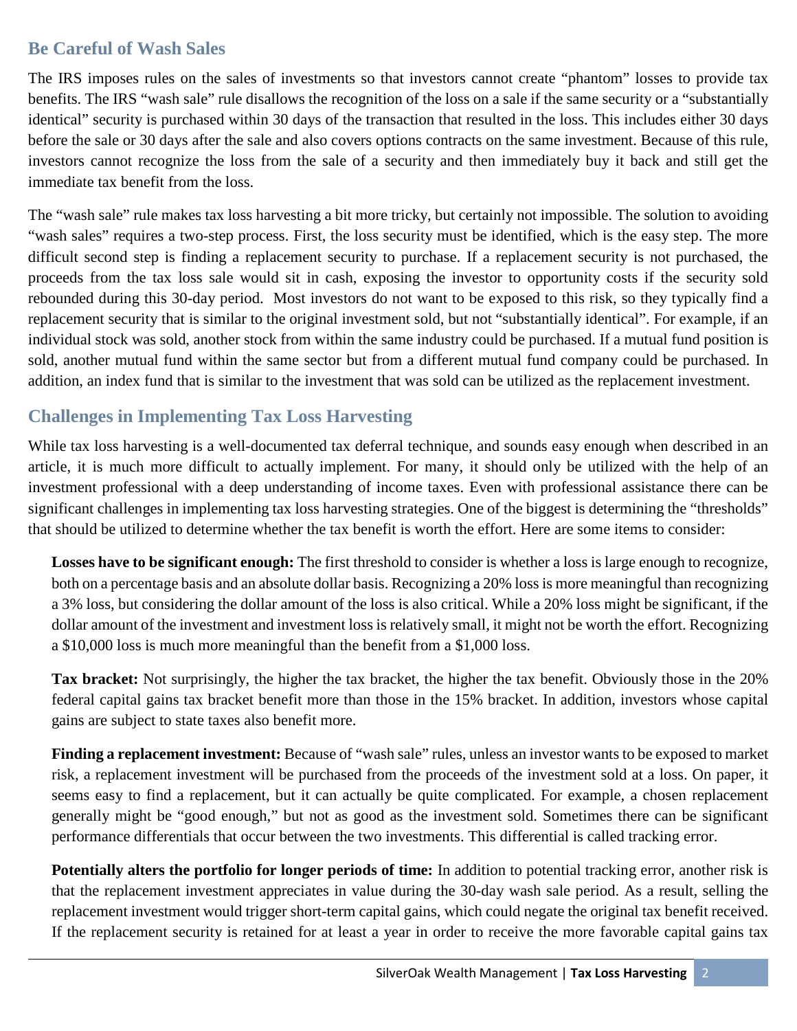# **Be Careful of Wash Sales**

The IRS imposes rules on the sales of investments so that investors cannot create "phantom" losses to provide tax benefits. The IRS "wash sale" rule disallows the recognition of the loss on a sale if the same security or a "substantially identical" security is purchased within 30 days of the transaction that resulted in the loss. This includes either 30 days before the sale or 30 days after the sale and also covers options contracts on the same investment. Because of this rule, investors cannot recognize the loss from the sale of a security and then immediately buy it back and still get the immediate tax benefit from the loss.

The "wash sale" rule makes tax loss harvesting a bit more tricky, but certainly not impossible. The solution to avoiding "wash sales" requires a two-step process. First, the loss security must be identified, which is the easy step. The more difficult second step is finding a replacement security to purchase. If a replacement security is not purchased, the proceeds from the tax loss sale would sit in cash, exposing the investor to opportunity costs if the security sold rebounded during this 30-day period. Most investors do not want to be exposed to this risk, so they typically find a replacement security that is similar to the original investment sold, but not "substantially identical". For example, if an individual stock was sold, another stock from within the same industry could be purchased. If a mutual fund position is sold, another mutual fund within the same sector but from a different mutual fund company could be purchased. In addition, an index fund that is similar to the investment that was sold can be utilized as the replacement investment.

# **Challenges in Implementing Tax Loss Harvesting**

While tax loss harvesting is a well-documented tax deferral technique, and sounds easy enough when described in an article, it is much more difficult to actually implement. For many, it should only be utilized with the help of an investment professional with a deep understanding of income taxes. Even with professional assistance there can be significant challenges in implementing tax loss harvesting strategies. One of the biggest is determining the "thresholds" that should be utilized to determine whether the tax benefit is worth the effort. Here are some items to consider:

**Losses have to be significant enough:** The first threshold to consider is whether a loss is large enough to recognize, both on a percentage basis and an absolute dollar basis. Recognizing a 20% loss is more meaningful than recognizing a 3% loss, but considering the dollar amount of the loss is also critical. While a 20% loss might be significant, if the dollar amount of the investment and investment loss is relatively small, it might not be worth the effort. Recognizing a \$10,000 loss is much more meaningful than the benefit from a \$1,000 loss.

**Tax bracket:** Not surprisingly, the higher the tax bracket, the higher the tax benefit. Obviously those in the 20% federal capital gains tax bracket benefit more than those in the 15% bracket. In addition, investors whose capital gains are subject to state taxes also benefit more.

**Finding a replacement investment:** Because of "wash sale" rules, unless an investor wants to be exposed to market risk, a replacement investment will be purchased from the proceeds of the investment sold at a loss. On paper, it seems easy to find a replacement, but it can actually be quite complicated. For example, a chosen replacement generally might be "good enough," but not as good as the investment sold. Sometimes there can be significant performance differentials that occur between the two investments. This differential is called tracking error.

**Potentially alters the portfolio for longer periods of time:** In addition to potential tracking error, another risk is that the replacement investment appreciates in value during the 30-day wash sale period. As a result, selling the replacement investment would trigger short-term capital gains, which could negate the original tax benefit received. If the replacement security is retained for at least a year in order to receive the more favorable capital gains tax